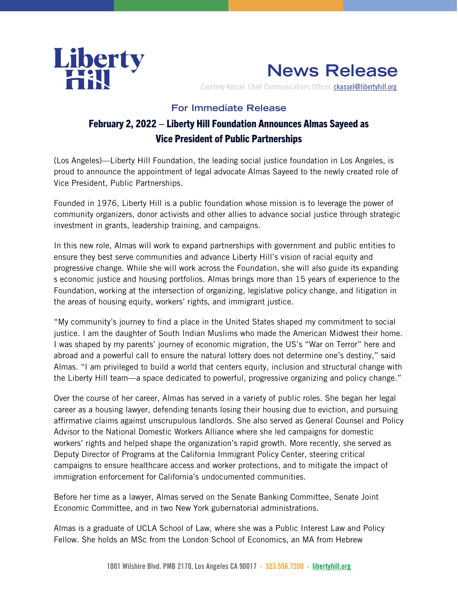

**News Release**

Courtney Kassel, Chief Communications Officer, **ckassel@libertyhill.org** 

## **For Immediate Release**

## February 2, 2022 – Liberty Hill Foundation Announces Almas Sayeed as Vice President of Public Partnerships

(Los Angeles)—Liberty Hill Foundation, the leading social justice foundation in Los Angeles, is proud to announce the appointment of legal advocate Almas Sayeed to the newly created role of Vice President, Public Partnerships.

Founded in 1976, Liberty Hill is a public foundation whose mission is to leverage the power of community organizers, donor activists and other allies to advance social justice through strategic investment in grants, leadership training, and campaigns.

In this new role, Almas will work to expand partnerships with government and public entities to ensure they best serve communities and advance Liberty Hill's vision of racial equity and progressive change. While she will work across the Foundation, she will also guide its expanding s economic justice and housing portfolios. Almas brings more than 15 years of experience to the Foundation, working at the intersection of organizing, legislative policy change, and litigation in the areas of housing equity, workers' rights, and immigrant justice.

"My community's journey to find a place in the United States shaped my commitment to social justice. I am the daughter of South Indian Muslims who made the American Midwest their home. I was shaped by my parents' journey of economic migration, the US's "War on Terror" here and abroad and a powerful call to ensure the natural lottery does not determine one's destiny," said Almas. "I am privileged to build a world that centers equity, inclusion and structural change with the Liberty Hill team—a space dedicated to powerful, progressive organizing and policy change."

Over the course of her career, Almas has served in a variety of public roles. She began her legal career as a housing lawyer, defending tenants losing their housing due to eviction, and pursuing affirmative claims against unscrupulous landlords. She also served as General Counsel and Policy Advisor to the National Domestic Workers Alliance where she led campaigns for domestic workers' rights and helped shape the organization's rapid growth. More recently, she served as Deputy Director of Programs at the California Immigrant Policy Center, steering critical campaigns to ensure healthcare access and worker protections, and to mitigate the impact of immigration enforcement for California's undocumented communities.

Before her time as a lawyer, Almas served on the Senate Banking Committee, Senate Joint Economic Committee, and in two New York gubernatorial administrations.

Almas is a graduate of UCLA School of Law, where she was a Public Interest Law and Policy Fellow. She holds an MSc from the London School of Economics, an MA from Hebrew